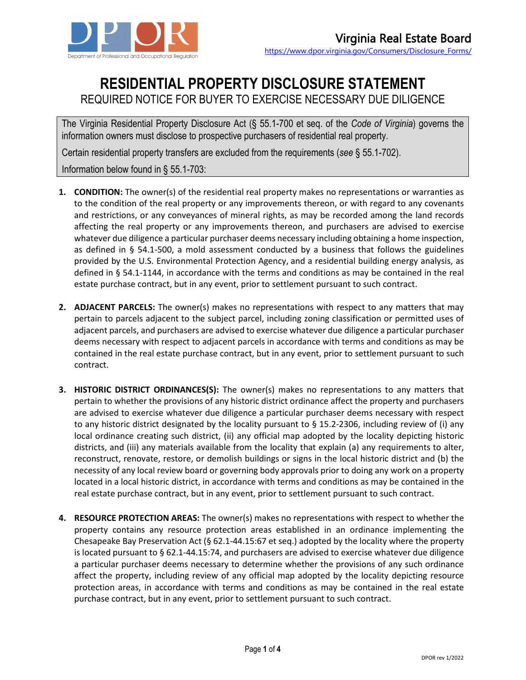

## **RESIDENTIAL PROPERTY DISCLOSURE STATEMENT**

## REQUIRED NOTICE FOR BUYER TO EXERCISE NECESSARY DUE DILIGENCE

The Virginia Residential Property Disclosure Act (§ 55.1-700 et seq. of the *Code of Virginia*) governs the information owners must disclose to prospective purchasers of residential real property.

Certain residential property transfers are excluded from the requirements (*see* § 55.1-702).

Information below found in § 55.1-703:

- **1. CONDITION:** The owner(s) of the residential real property makes no representations or warranties as to the condition of the real property or any improvements thereon, or with regard to any covenants and restrictions, or any conveyances of mineral rights, as may be recorded among the land records affecting the real property or any improvements thereon, and purchasers are advised to exercise whatever due diligence a particular purchaser deems necessary including obtaining a home inspection, as defined in § 54.1-500, a mold assessment conducted by a business that follows the guidelines provided by the U.S. Environmental Protection Agency, and a residential building energy analysis, as defined in § 54.1-1144, in accordance with the terms and conditions as may be contained in the real estate purchase contract, but in any event, prior to settlement pursuant to such contract.
- **2. ADJACENT PARCELS:** The owner(s) makes no representations with respect to any matters that may pertain to parcels adjacent to the subject parcel, including zoning classification or permitted uses of adjacent parcels, and purchasers are advised to exercise whatever due diligence a particular purchaser deems necessary with respect to adjacent parcels in accordance with terms and conditions as may be contained in the real estate purchase contract, but in any event, prior to settlement pursuant to such contract.
- **3. HISTORIC DISTRICT ORDINANCES(S):** The owner(s) makes no representations to any matters that pertain to whether the provisions of any historic district ordinance affect the property and purchasers are advised to exercise whatever due diligence a particular purchaser deems necessary with respect to any historic district designated by the locality pursuant to § 15.2-2306, including review of (i) any local ordinance creating such district, (ii) any official map adopted by the locality depicting historic districts, and (iii) any materials available from the locality that explain (a) any requirements to alter, reconstruct, renovate, restore, or demolish buildings or signs in the local historic district and (b) the necessity of any local review board or governing body approvals prior to doing any work on a property located in a local historic district, in accordance with terms and conditions as may be contained in the real estate purchase contract, but in any event, prior to settlement pursuant to such contract.
- **4. RESOURCE PROTECTION AREAS:** The owner(s) makes no representations with respect to whether the property contains any resource protection areas established in an ordinance implementing the Chesapeake Bay Preservation Act (§ 62.1-44.15:67 et seq.) adopted by the locality where the property is located pursuant to § 62.1-44.15:74, and purchasers are advised to exercise whatever due diligence a particular purchaser deems necessary to determine whether the provisions of any such ordinance affect the property, including review of any official map adopted by the locality depicting resource protection areas, in accordance with terms and conditions as may be contained in the real estate purchase contract, but in any event, prior to settlement pursuant to such contract.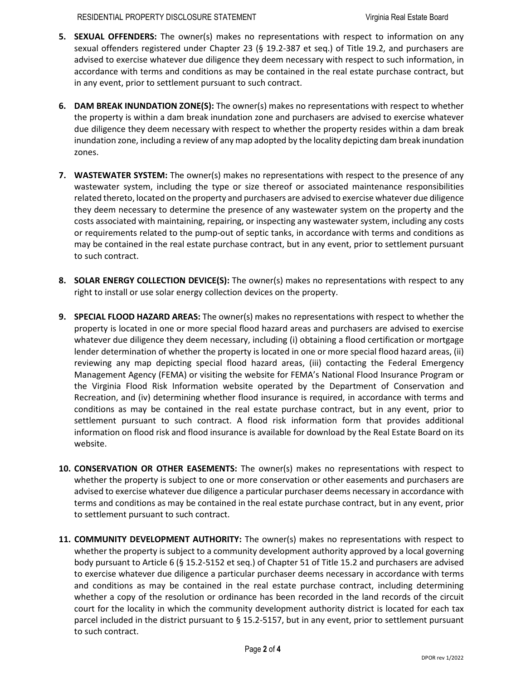RESIDENTIAL PROPERTY DISCLOSURE STATEMENT Virginia Real Estate Board

- **5. SEXUAL OFFENDERS:** The owner(s) makes no representations with respect to information on any sexual offenders registered under Chapter 23 (§ 19.2-387 et seq.) of Title 19.2, and purchasers are advised to exercise whatever due diligence they deem necessary with respect to such information, in accordance with terms and conditions as may be contained in the real estate purchase contract, but in any event, prior to settlement pursuant to such contract.
- **6. DAM BREAK INUNDATION ZONE(S):** The owner(s) makes no representations with respect to whether the property is within a dam break inundation zone and purchasers are advised to exercise whatever due diligence they deem necessary with respect to whether the property resides within a dam break inundation zone, including a review of any map adopted by the locality depicting dam break inundation zones.
- **7. WASTEWATER SYSTEM:** The owner(s) makes no representations with respect to the presence of any wastewater system, including the type or size thereof or associated maintenance responsibilities related thereto, located on the property and purchasers are advised to exercise whatever due diligence they deem necessary to determine the presence of any wastewater system on the property and the costs associated with maintaining, repairing, or inspecting any wastewater system, including any costs or requirements related to the pump-out of septic tanks, in accordance with terms and conditions as may be contained in the real estate purchase contract, but in any event, prior to settlement pursuant to such contract.
- **8. SOLAR ENERGY COLLECTION DEVICE(S):** The owner(s) makes no representations with respect to any right to install or use solar energy collection devices on the property.
- **9. SPECIAL FLOOD HAZARD AREAS:** The owner(s) makes no representations with respect to whether the property is located in one or more special flood hazard areas and purchasers are advised to exercise whatever due diligence they deem necessary, including (i) obtaining a flood certification or mortgage lender determination of whether the property is located in one or more special flood hazard areas, (ii) reviewing any map depicting special flood hazard areas, (iii) contacting the Federal Emergency Management Agency (FEMA) or visiting the website for FEMA's National Flood Insurance Program or the Virginia Flood Risk Information website operated by the Department of Conservation and Recreation, and (iv) determining whether flood insurance is required, in accordance with terms and conditions as may be contained in the real estate purchase contract, but in any event, prior to settlement pursuant to such contract. A flood risk information form that provides additional information on flood risk and flood insurance is available for download by the Real Estate Board on its website.
- **10. CONSERVATION OR OTHER EASEMENTS:** The owner(s) makes no representations with respect to whether the property is subject to one or more conservation or other easements and purchasers are advised to exercise whatever due diligence a particular purchaser deems necessary in accordance with terms and conditions as may be contained in the real estate purchase contract, but in any event, prior to settlement pursuant to such contract.
- **11. COMMUNITY DEVELOPMENT AUTHORITY:** The owner(s) makes no representations with respect to whether the property is subject to a community development authority approved by a local governing body pursuant to Article 6 (§ 15.2-5152 et seq.) of Chapter 51 of Title 15.2 and purchasers are advised to exercise whatever due diligence a particular purchaser deems necessary in accordance with terms and conditions as may be contained in the real estate purchase contract, including determining whether a copy of the resolution or ordinance has been recorded in the land records of the circuit court for the locality in which the community development authority district is located for each tax parcel included in the district pursuant to § 15.2-5157, but in any event, prior to settlement pursuant to such contract.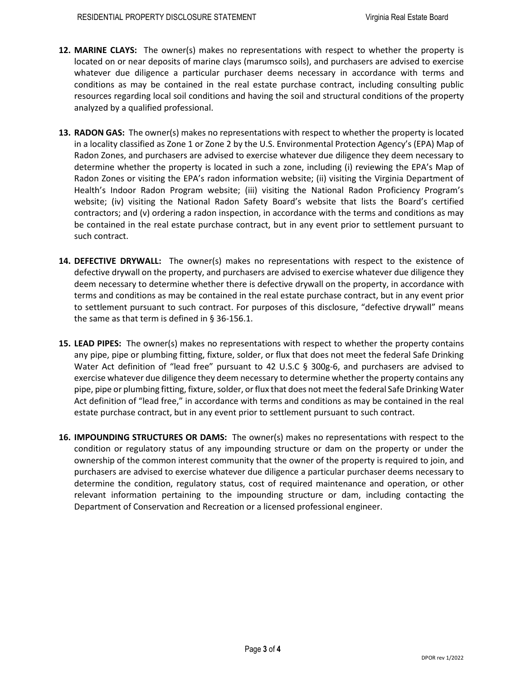- **12. MARINE CLAYS:** The owner(s) makes no representations with respect to whether the property is located on or near deposits of marine clays (marumsco soils), and purchasers are advised to exercise whatever due diligence a particular purchaser deems necessary in accordance with terms and conditions as may be contained in the real estate purchase contract, including consulting public resources regarding local soil conditions and having the soil and structural conditions of the property analyzed by a qualified professional.
- **13. RADON GAS:** The owner(s) makes no representations with respect to whether the property is located in a locality classified as Zone 1 or Zone 2 by the U.S. Environmental Protection Agency's (EPA) Map of Radon Zones, and purchasers are advised to exercise whatever due diligence they deem necessary to determine whether the property is located in such a zone, including (i) reviewing the EPA's Map of Radon Zones or visiting the EPA's radon information website; (ii) visiting the Virginia Department of Health's Indoor Radon Program website; (iii) visiting the National Radon Proficiency Program's website; (iv) visiting the National Radon Safety Board's website that lists the Board's certified contractors; and (v) ordering a radon inspection, in accordance with the terms and conditions as may be contained in the real estate purchase contract, but in any event prior to settlement pursuant to such contract.
- **14. DEFECTIVE DRYWALL:** The owner(s) makes no representations with respect to the existence of defective drywall on the property, and purchasers are advised to exercise whatever due diligence they deem necessary to determine whether there is defective drywall on the property, in accordance with terms and conditions as may be contained in the real estate purchase contract, but in any event prior to settlement pursuant to such contract. For purposes of this disclosure, "defective drywall" means the same as that term is defined in § 36-156.1.
- **15. LEAD PIPES:** The owner(s) makes no representations with respect to whether the property contains any pipe, pipe or plumbing fitting, fixture, solder, or flux that does not meet the federal Safe Drinking Water Act definition of "lead free" pursuant to 42 U.S.C § 300g-6, and purchasers are advised to exercise whatever due diligence they deem necessary to determine whether the property contains any pipe, pipe or plumbing fitting, fixture, solder, or flux that does not meet the federal Safe Drinking Water Act definition of "lead free," in accordance with terms and conditions as may be contained in the real estate purchase contract, but in any event prior to settlement pursuant to such contract.
- **16. IMPOUNDING STRUCTURES OR DAMS:** The owner(s) makes no representations with respect to the condition or regulatory status of any impounding structure or dam on the property or under the ownership of the common interest community that the owner of the property is required to join, and purchasers are advised to exercise whatever due diligence a particular purchaser deems necessary to determine the condition, regulatory status, cost of required maintenance and operation, or other relevant information pertaining to the impounding structure or dam, including contacting the Department of Conservation and Recreation or a licensed professional engineer.